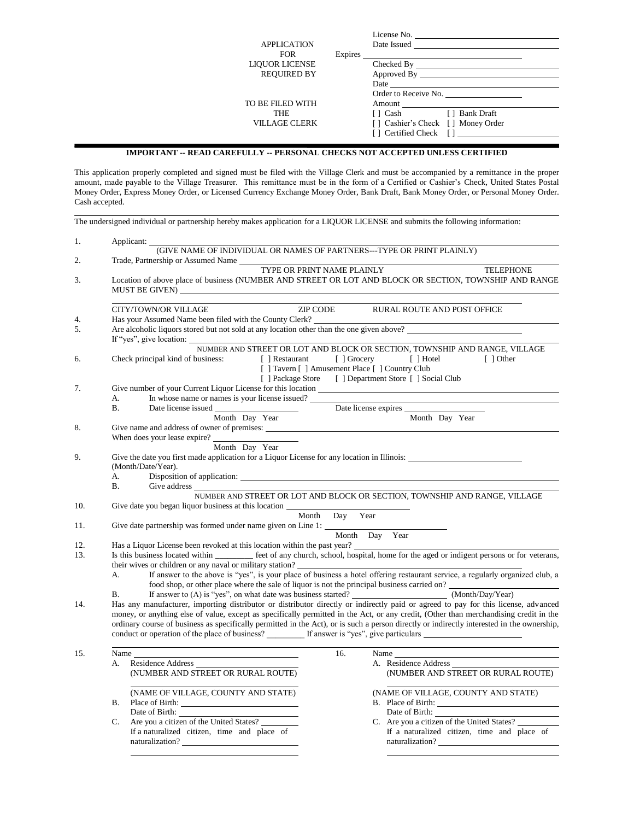| <b>APPLICATION</b><br><b>FOR</b> | Expires | License No.<br>Date Issued                                                                                                                                                                                                     | <u> 1980 - Jan Stein Bernstein, marking fan de Amerikaansk kommunenter (</u> |
|----------------------------------|---------|--------------------------------------------------------------------------------------------------------------------------------------------------------------------------------------------------------------------------------|------------------------------------------------------------------------------|
| <b>LIQUOR LICENSE</b>            |         | Checked By the change of the change of the change of the change of the change of the change of the change of the change of the change of the change of the change of the change of the change of the change of the change of t |                                                                              |
| <b>REQUIRED BY</b>               |         |                                                                                                                                                                                                                                |                                                                              |
|                                  |         | <b>Date</b> and <b>Date</b>                                                                                                                                                                                                    |                                                                              |
|                                  |         |                                                                                                                                                                                                                                | Order to Receive No.                                                         |
| TO BE FILED WITH                 |         | Amount                                                                                                                                                                                                                         |                                                                              |
| <b>THE</b>                       |         | [ ] Cash                                                                                                                                                                                                                       | [ ] Bank Draft                                                               |
| <b>VILLAGE CLERK</b>             |         | [] Cashier's Check [] Money Order                                                                                                                                                                                              |                                                                              |
|                                  |         | Certified Check []<br>- 1                                                                                                                                                                                                      |                                                                              |

## **IMPORTANT -- READ CAREFULLY -- PERSONAL CHECKS NOT ACCEPTED UNLESS CERTIFIED**

This application properly completed and signed must be filed with the Village Clerk and must be accompanied by a remittance in the proper amount, made payable to the Village Treasurer. This remittance must be in the form of a Certified or Cashier's Check, United States Postal Money Order, Express Money Order, or Licensed Currency Exchange Money Order, Bank Draft, Bank Money Order, or Personal Money Order. Cash accepted.

|          | The undersigned individual or partnership hereby makes application for a LIQUOR LICENSE and submits the following information:                                                                                                                                                                                                                                                                                            |  |  |  |  |  |
|----------|---------------------------------------------------------------------------------------------------------------------------------------------------------------------------------------------------------------------------------------------------------------------------------------------------------------------------------------------------------------------------------------------------------------------------|--|--|--|--|--|
| 1.       | Applicant:<br>$\widehat{\rm (GIVE\ NAME\ OF\ INDIVIDUAL\ OR\ NAMES\ OF\ PARTNERS---TYPE\ OR\ PRINT\ PLAINLY)}$                                                                                                                                                                                                                                                                                                            |  |  |  |  |  |
| 2.       | Trade, Partnership or Assumed Name                                                                                                                                                                                                                                                                                                                                                                                        |  |  |  |  |  |
| 3.       | TYPE OR PRINT NAME PLAINLY<br>TELEPHONE<br>Location of above place of business (NUMBER AND STREET OR LOT AND BLOCK OR SECTION, TOWNSHIP AND RANGE                                                                                                                                                                                                                                                                         |  |  |  |  |  |
|          | ZIP CODE<br>CITY/TOWN/OR VILLAGE<br>RURAL ROUTE AND POST OFFICE                                                                                                                                                                                                                                                                                                                                                           |  |  |  |  |  |
| 4.<br>5. | Has your Assumed Name been filed with the County Clerk?<br>Are alcoholic liquors stored but not sold at any location other than the one given above?                                                                                                                                                                                                                                                                      |  |  |  |  |  |
| 6.       | If "yes", give location: NUMBER AND STREET OR LOT AND BLOCK OR SECTION, TOWNSHIP AND RANGE, VILLAGE<br>Check principal kind of business:<br>[ ] Restaurant [ ] Grocery [ ] Hotel<br>[ ] Other<br>[ ] Tavern [ ] Amusement Place [ ] Country Club<br>[ ] Package Store [ ] Department Store [ ] Social Club                                                                                                                |  |  |  |  |  |
| 7.       | In whose name or names is your license issued?<br>А.<br>Date license expires<br>В.                                                                                                                                                                                                                                                                                                                                        |  |  |  |  |  |
|          | Month Day Year<br>Month Day Year                                                                                                                                                                                                                                                                                                                                                                                          |  |  |  |  |  |
| 8.       | Give name and address of owner of premises:<br>When does your lease expire?<br>Month Day Year                                                                                                                                                                                                                                                                                                                             |  |  |  |  |  |
| 9.       | Give the date you first made application for a Liquor License for any location in Illinois:<br>(Month/Date/Year).                                                                                                                                                                                                                                                                                                         |  |  |  |  |  |
|          | А.<br><b>B.</b>                                                                                                                                                                                                                                                                                                                                                                                                           |  |  |  |  |  |
|          | NUMBER AND STREET OR LOT AND BLOCK OR SECTION, TOWNSHIP AND RANGE, VILLAGE                                                                                                                                                                                                                                                                                                                                                |  |  |  |  |  |
| 10.      | Month                                                                                                                                                                                                                                                                                                                                                                                                                     |  |  |  |  |  |
| 11.      | Day Year                                                                                                                                                                                                                                                                                                                                                                                                                  |  |  |  |  |  |
|          | Month Day Year                                                                                                                                                                                                                                                                                                                                                                                                            |  |  |  |  |  |
| 12.      | Has a Liquor License been revoked at this location within the past year?                                                                                                                                                                                                                                                                                                                                                  |  |  |  |  |  |
| 13.      | Is this business located within ________ feet of any church, school, hospital, home for the aged or indigent persons or for veterans,                                                                                                                                                                                                                                                                                     |  |  |  |  |  |
|          | If answer to the above is "yes", is your place of business a hotel offering restaurant service, a regularly organized club, a<br>A.<br>food shop, or other place where the sale of liquor is not the principal business carried on?                                                                                                                                                                                       |  |  |  |  |  |
|          | В.                                                                                                                                                                                                                                                                                                                                                                                                                        |  |  |  |  |  |
| 14.      | Has any manufacturer, importing distributor or distributor directly or indirectly paid or agreed to pay for this license, advanced<br>money, or anything else of value, except as specifically permitted in the Act, or any credit, (Other than merchandising credit in the<br>ordinary course of business as specifically permitted in the Act), or is such a person directly or indirectly interested in the ownership, |  |  |  |  |  |
| 15.      | <u> 1989 - Johann Barn, mars ann an t-Amhain Aonaich an t-Aonaich an t-Aonaich ann an t-Aonaich ann an t-Aonaich</u><br>16.<br>Name                                                                                                                                                                                                                                                                                       |  |  |  |  |  |
|          | Residence Address<br>A. Residence Address<br>А.<br>(NUMBER AND STREET OR RURAL ROUTE)<br>(NUMBER AND STREET OR RURAL ROUTE)                                                                                                                                                                                                                                                                                               |  |  |  |  |  |
|          | (NAME OF VILLAGE, COUNTY AND STATE)<br>(NAME OF VILLAGE, COUNTY AND STATE)<br>В.<br>B. Place of Birth:                                                                                                                                                                                                                                                                                                                    |  |  |  |  |  |
|          | Are you a citizen of the United States?<br>C. Are you a citizen of the United States?<br>C.<br>If a naturalized citizen, time and place of<br>If a naturalized citizen, time and place of<br>naturalization?<br>naturalization?                                                                                                                                                                                           |  |  |  |  |  |
|          |                                                                                                                                                                                                                                                                                                                                                                                                                           |  |  |  |  |  |